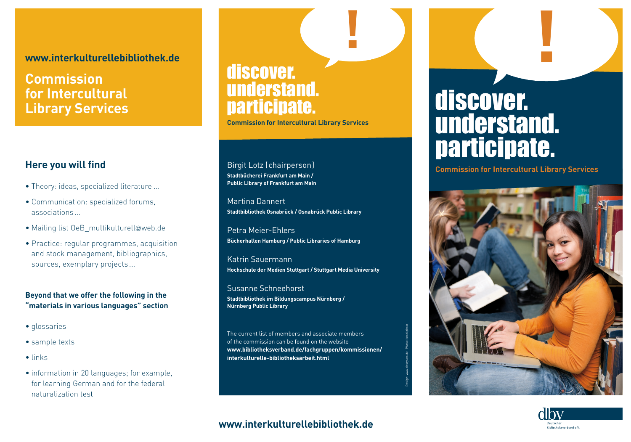#### **www.interkulturellebibliothek.de**

### **Commission for Intercultural Library Services**

#### **Here you will find**

- Theory: ideas, specialized literature ...
- Communication: specialized forums, associations...
- Mailing list OeB\_multikulturell@web.de
- Practice: regular programmes, acquisition and stock management, bibliographics, sources, exemplary projects ...

#### **Beyond that we offer the following in the "materials in various languages" section**

- glossaries
- sample texts
- links
- information in 20 languages; for example, for learning German and for the federal naturalization test

## discover. understand. participate.

**Commission for Intercultural Library Services**

Birgit Lotz (chairperson) **Stadtbücherei Frankfurt am Main / Public Library of Frankfurt am Main** 

Martina Dannert **Stadtbibliothek Osnabrück / Osnabrück Public Library**

Petra Meier-Ehlers **Bücherhallen Hamburg / Public Libraries of Hamburg** 

Katrin Sauermann **Hochschule der Medien Stuttgart / Stuttgart Media University**

Susanne Schneehorst **Stadtbibliothek im Bildungscampus Nürnberg / Nürnberg Public Library**

The current list of members and associate members of the commission can be found on the website **www.bibliotheksverband.de/fachgruppen/kommissionen/ interkulturelle-bibliotheksarbeit.html**

Design: www.desayuno.de · Photo: istockphoto

# discover. understand. participate.

**! !**

**Commission for Intercultural Library Services**





#### **www.interkulturellebibliothek.de**